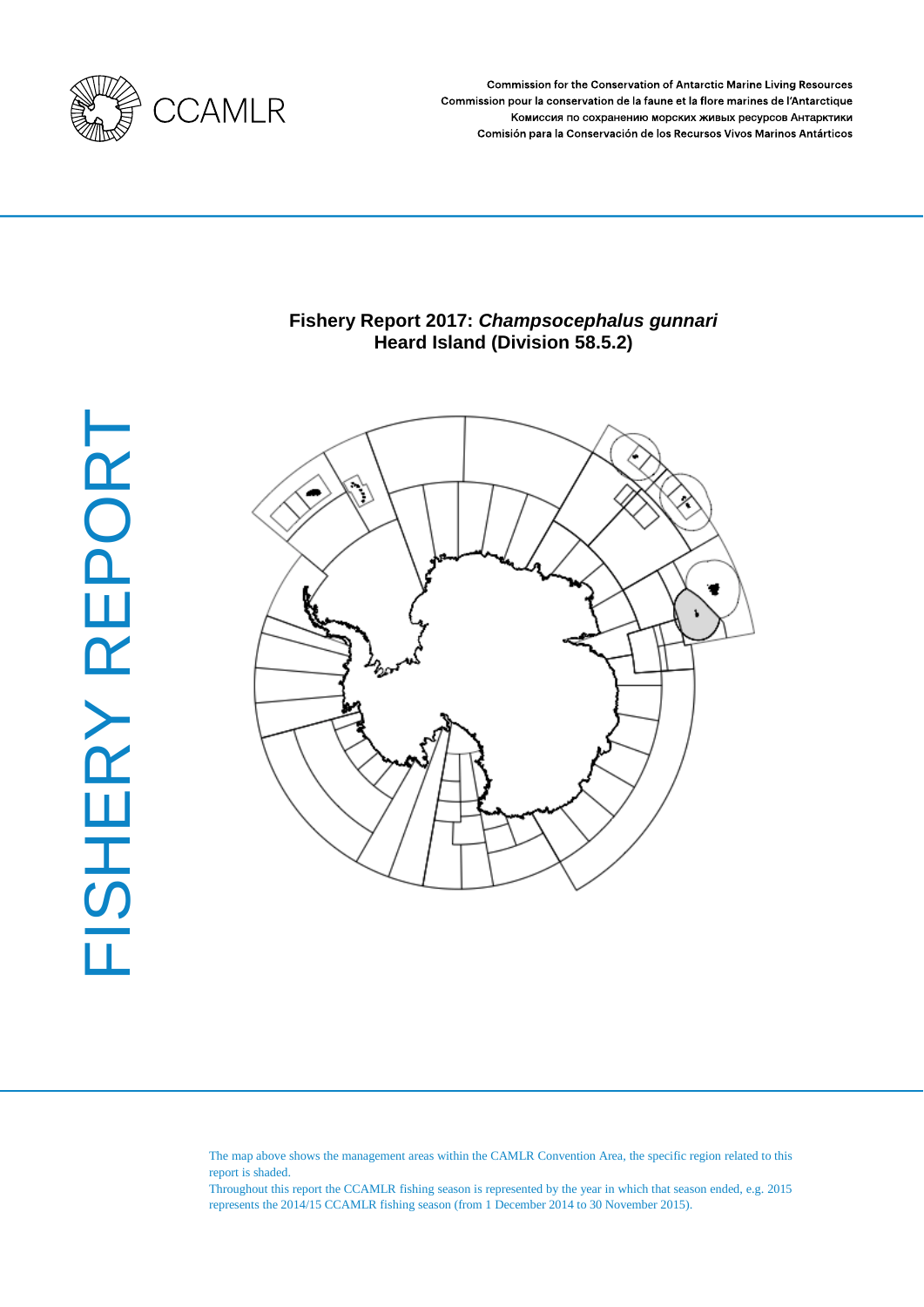

**Commission for the Conservation of Antarctic Marine Living Resources** Commission pour la conservation de la faune et la flore marines de l'Antarctique Комиссия по сохранению морских живых ресурсов Антарктики Comisión para la Conservación de los Recursos Vivos Marinos Antárticos

# **Fishery Report 2017:** *Champsocephalus gunnari* **Heard Island (Division 58.5.2)**



The map above shows the management areas within the CAMLR Convention Area, the specific region related to this report is shaded.

Throughout this report the CCAMLR fishing season is represented by the year in which that season ended, e.g. 2015 represents the 2014/15 CCAMLR fishing season (from 1 December 2014 to 30 November 2015).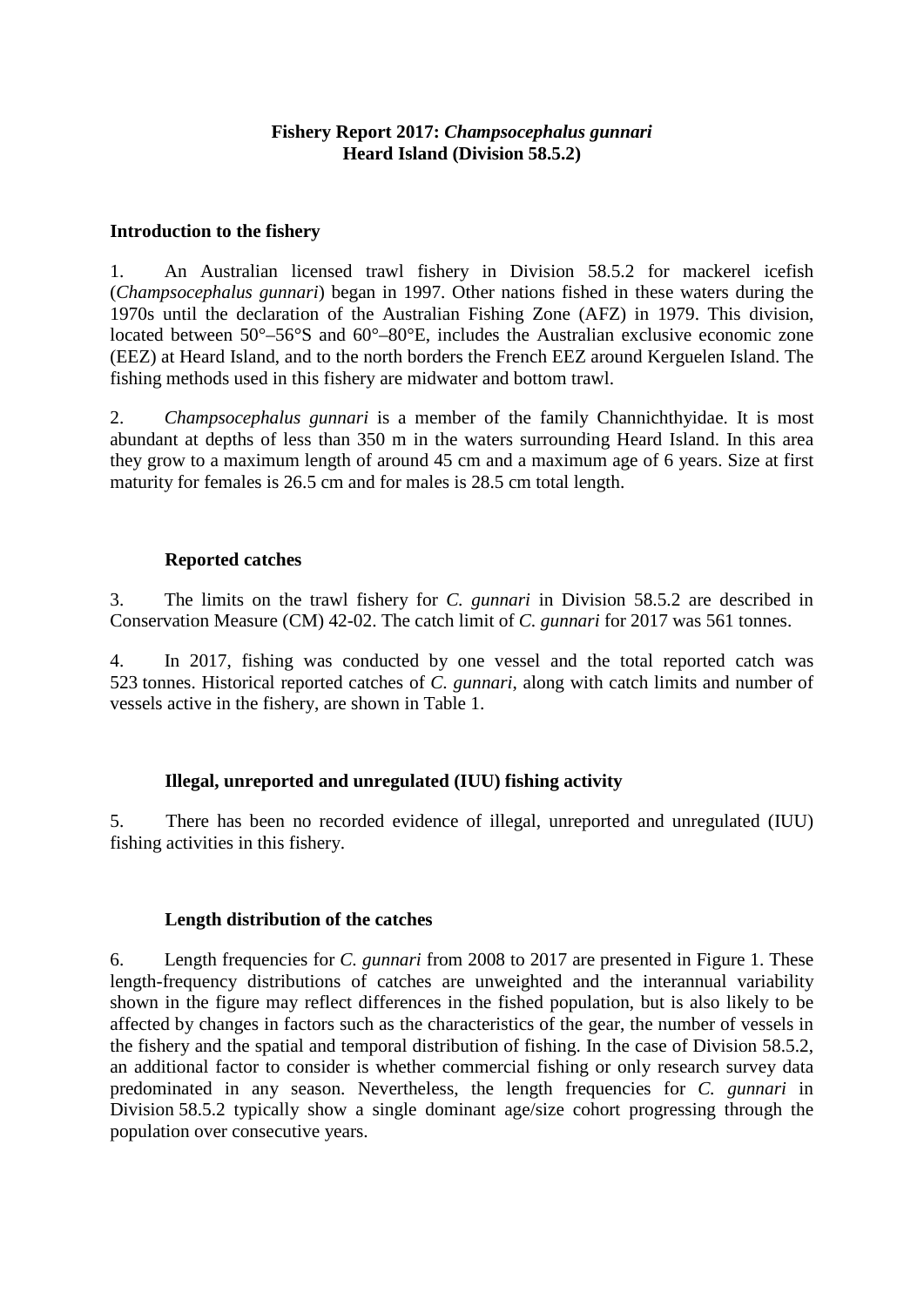# **Fishery Report 2017:** *Champsocephalus gunnari* **Heard Island (Division 58.5.2)**

# **Introduction to the fishery**

1. An Australian licensed trawl fishery in Division 58.5.2 for mackerel icefish (*Champsocephalus gunnari*) began in 1997. Other nations fished in these waters during the 1970s until the declaration of the Australian Fishing Zone (AFZ) in 1979. This division, located between 50°–56°S and 60°–80°E, includes the Australian exclusive economic zone (EEZ) at Heard Island, and to the north borders the French EEZ around Kerguelen Island. The fishing methods used in this fishery are midwater and bottom trawl.

2. *Champsocephalus gunnari* is a member of the family Channichthyidae. It is most abundant at depths of less than 350 m in the waters surrounding Heard Island. In this area they grow to a maximum length of around 45 cm and a maximum age of 6 years. Size at first maturity for females is 26.5 cm and for males is 28.5 cm total length.

# **Reported catches**

3. The limits on the trawl fishery for *C. gunnari* in Division 58.5.2 are described in Conservation Measure (CM) 42-02. The catch limit of *C. gunnari* for 2017 was 561 tonnes.

4. In 2017, fishing was conducted by one vessel and the total reported catch was 523 tonnes. Historical reported catches of *C. gunnari*, along with catch limits and number of vessels active in the fishery, are shown in Table 1.

# **Illegal, unreported and unregulated (IUU) fishing activity**

5. There has been no recorded evidence of illegal, unreported and unregulated (IUU) fishing activities in this fishery.

# **Length distribution of the catches**

6. Length frequencies for *C. gunnari* from 2008 to 2017 are presented in Figure 1. These length-frequency distributions of catches are unweighted and the interannual variability shown in the figure may reflect differences in the fished population, but is also likely to be affected by changes in factors such as the characteristics of the gear, the number of vessels in the fishery and the spatial and temporal distribution of fishing. In the case of Division 58.5.2, an additional factor to consider is whether commercial fishing or only research survey data predominated in any season. Nevertheless, the length frequencies for *C. gunnari* in Division 58.5.2 typically show a single dominant age/size cohort progressing through the population over consecutive years.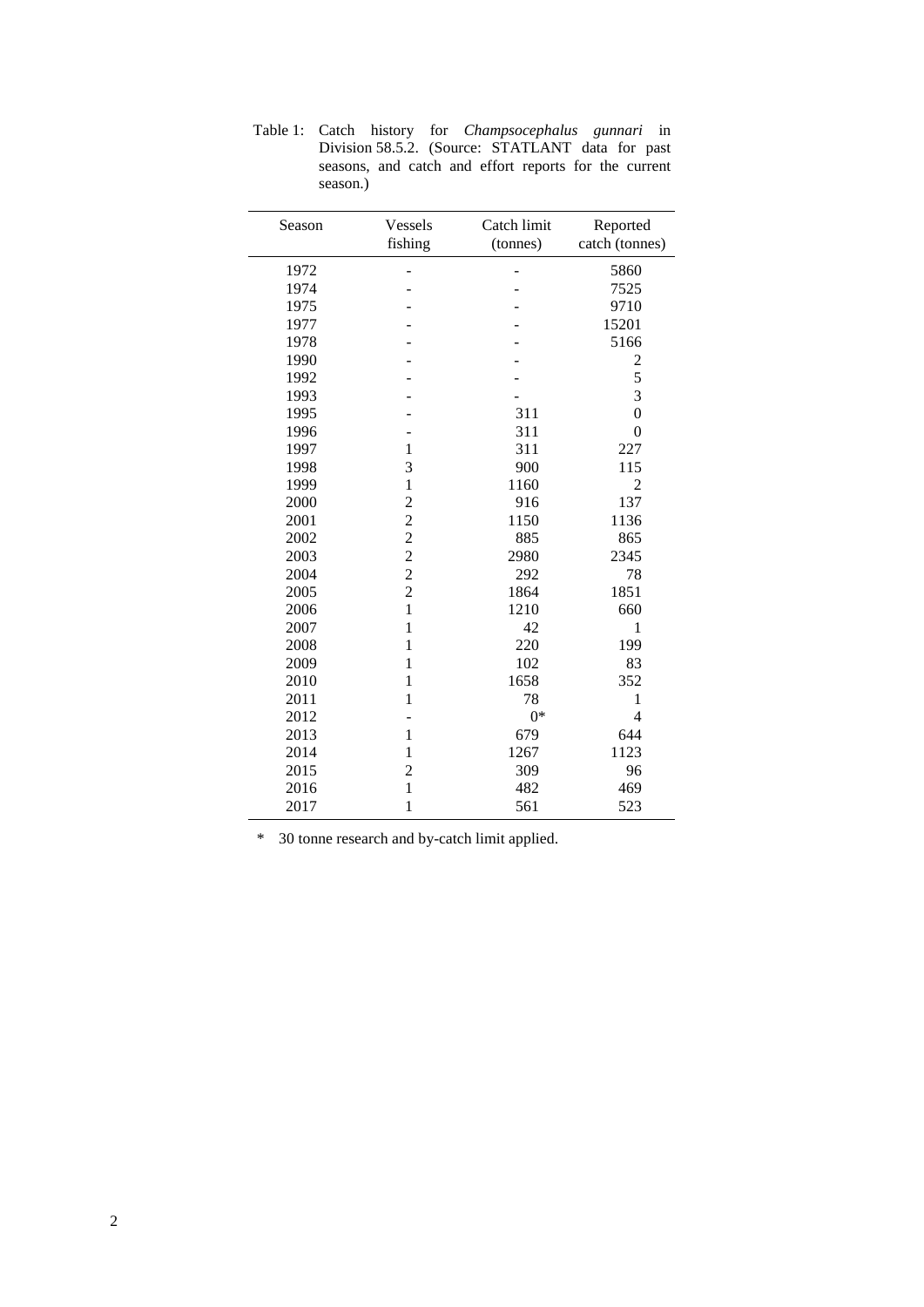| Season | Vessels        | Catch limit | Reported       |
|--------|----------------|-------------|----------------|
|        | fishing        | (tonnes)    | catch (tonnes) |
| 1972   |                |             | 5860           |
| 1974   |                |             | 7525           |
| 1975   |                |             | 9710           |
| 1977   |                |             | 15201          |
| 1978   |                |             | 5166           |
| 1990   |                |             |                |
| 1992   |                |             | $rac{2}{5}$    |
| 1993   |                |             | $\overline{3}$ |
| 1995   |                | 311         | $\overline{0}$ |
| 1996   |                | 311         | $\overline{0}$ |
| 1997   | $\mathbf{1}$   | 311         | 227            |
| 1998   | 3              | 900         | 115            |
| 1999   | $\mathbf{1}$   | 1160        | $\overline{2}$ |
| 2000   | $\overline{c}$ | 916         | 137            |
| 2001   | $\overline{c}$ | 1150        | 1136           |
| 2002   | $\overline{c}$ | 885         | 865            |
| 2003   | $\overline{c}$ | 2980        | 2345           |
| 2004   | $\overline{c}$ | 292         | 78             |
| 2005   | $\overline{2}$ | 1864        | 1851           |
| 2006   | $\mathbf{1}$   | 1210        | 660            |
| 2007   | $\mathbf{1}$   | 42          | 1              |
| 2008   | $\mathbf{1}$   | 220         | 199            |
| 2009   | $\mathbf{1}$   | 102         | 83             |
| 2010   | $\mathbf{1}$   | 1658        | 352            |
| 2011   | $\mathbf{1}$   | 78          | 1              |
| 2012   |                | $0*$        | 4              |
| 2013   | $\mathbf{1}$   | 679         | 644            |
| 2014   | $\mathbf{1}$   | 1267        | 1123           |
| 2015   | $\overline{c}$ | 309         | 96             |
| 2016   | $\mathbf{1}$   | 482         | 469            |
| 2017   | $\mathbf{1}$   | 561         | 523            |

Table 1: Catch history for *Champsocephalus gunnari* in Division 58.5.2. (Source: STATLANT data for past seasons, and catch and effort reports for the current season.)

\* 30 tonne research and by-catch limit applied.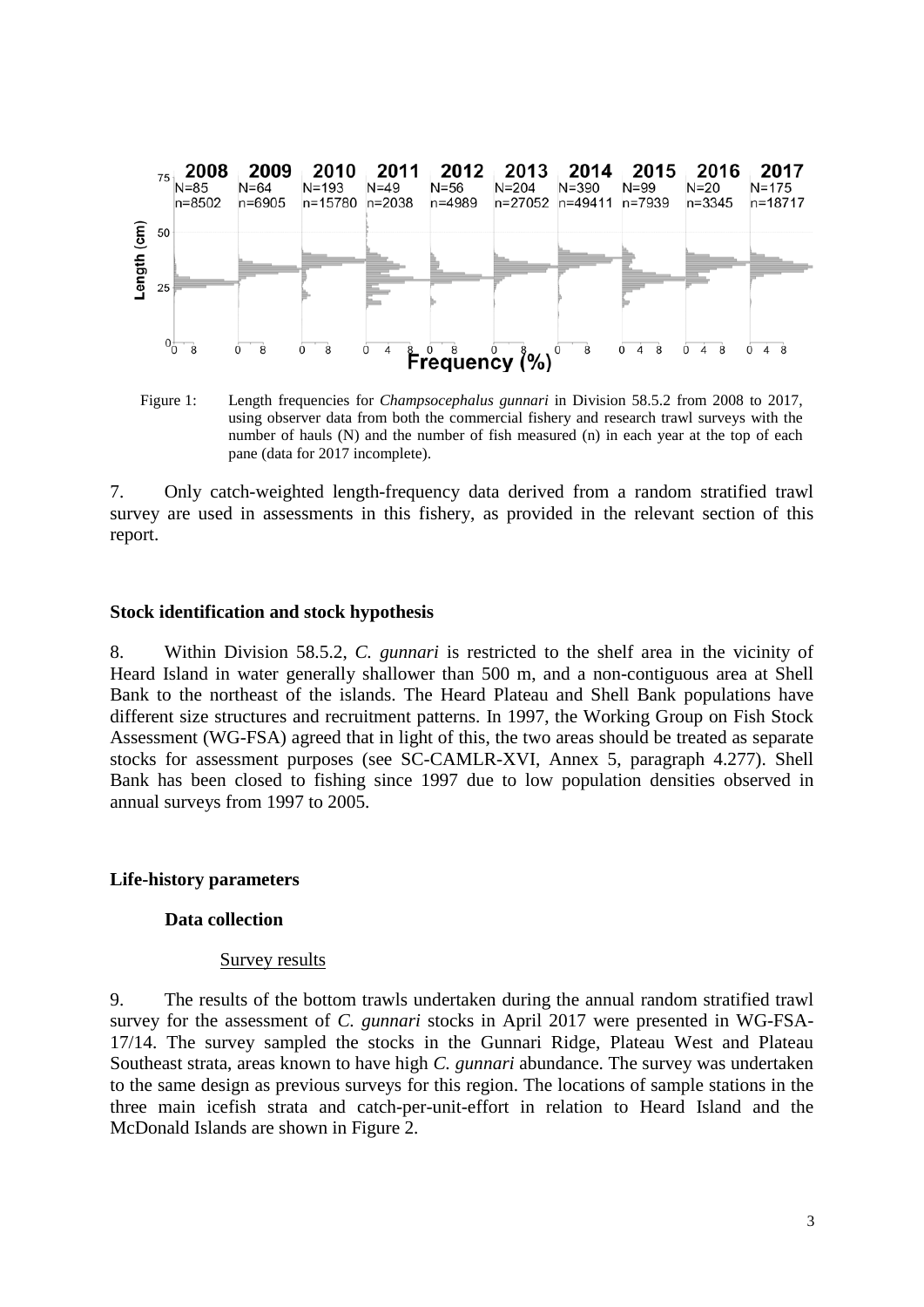

Figure 1: Length frequencies for *Champsocephalus gunnari* in Division 58.5.2 from 2008 to 2017, using observer data from both the commercial fishery and research trawl surveys with the number of hauls (N) and the number of fish measured (n) in each year at the top of each pane (data for 2017 incomplete).

7. Only catch-weighted length-frequency data derived from a random stratified trawl survey are used in assessments in this fishery, as provided in the relevant section of this report.

#### **Stock identification and stock hypothesis**

8. Within Division 58.5.2, *C. gunnari* is restricted to the shelf area in the vicinity of Heard Island in water generally shallower than 500 m, and a non-contiguous area at Shell Bank to the northeast of the islands. The Heard Plateau and Shell Bank populations have different size structures and recruitment patterns. In 1997, the Working Group on Fish Stock Assessment (WG-FSA) agreed that in light of this, the two areas should be treated as separate stocks for assessment purposes (see SC-CAMLR-XVI, Annex 5, paragraph 4.277). Shell Bank has been closed to fishing since 1997 due to low population densities observed in annual surveys from 1997 to 2005.

#### **Life-history parameters**

#### **Data collection**

#### Survey results

9. The results of the bottom trawls undertaken during the annual random stratified trawl survey for the assessment of *C. gunnari* stocks in April 2017 were presented in WG-FSA-17/14. The survey sampled the stocks in the Gunnari Ridge, Plateau West and Plateau Southeast strata, areas known to have high *C. gunnari* abundance. The survey was undertaken to the same design as previous surveys for this region. The locations of sample stations in the three main icefish strata and catch-per-unit-effort in relation to Heard Island and the McDonald Islands are shown in Figure 2.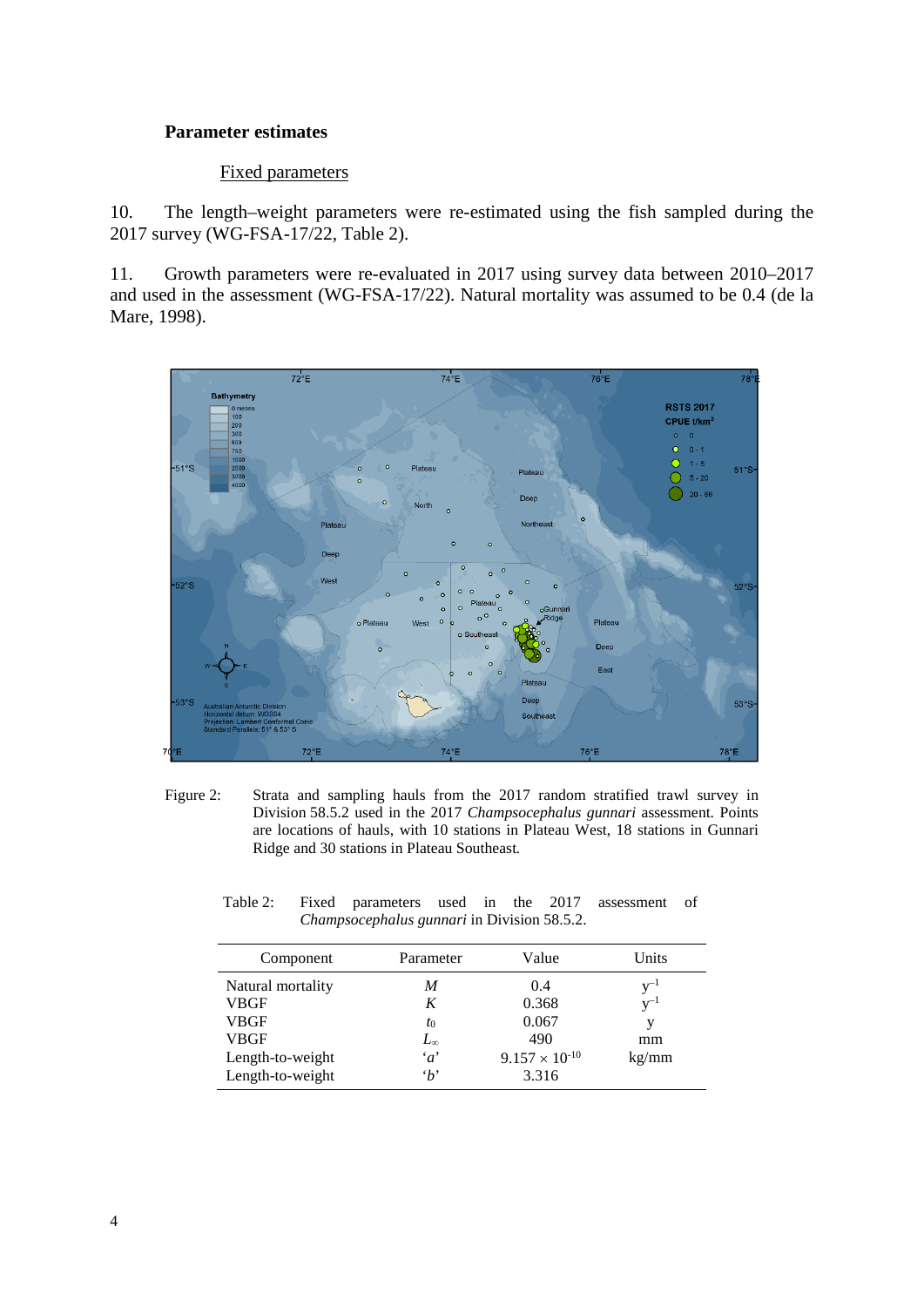## **Parameter estimates**

### Fixed parameters

10. The length–weight parameters were re-estimated using the fish sampled during the 2017 survey (WG-FSA-17/22, Table 2).

11. Growth parameters were re-evaluated in 2017 using survey data between 2010–2017 and used in the assessment (WG-FSA-17/22). Natural mortality was assumed to be 0.4 (de la Mare, 1998).



Figure 2: Strata and sampling hauls from the 2017 random stratified trawl survey in Division 58.5.2 used in the 2017 *Champsocephalus gunnari* assessment. Points are locations of hauls, with 10 stations in Plateau West, 18 stations in Gunnari Ridge and 30 stations in Plateau Southeast*.*

| Component         | Parameter    | Value                   | Units    |
|-------------------|--------------|-------------------------|----------|
| Natural mortality | M            | 0.4                     | $V^{-1}$ |
| <b>VBGF</b>       | K            | 0.368                   | $v^{-1}$ |
| <b>VBGF</b>       | $t_0$        | 0.067                   | v        |
| <b>VBGF</b>       | $L_{\infty}$ | 490                     | mm       |
| Length-to-weight  | $\alpha$     | $9.157 \times 10^{-10}$ | kg/mm    |
| Length-to-weight  | $\cdot_b$    | 3.316                   |          |

Table 2: Fixed parameters used in the 2017 assessment of *Champsocephalus gunnari* in Division 58.5.2.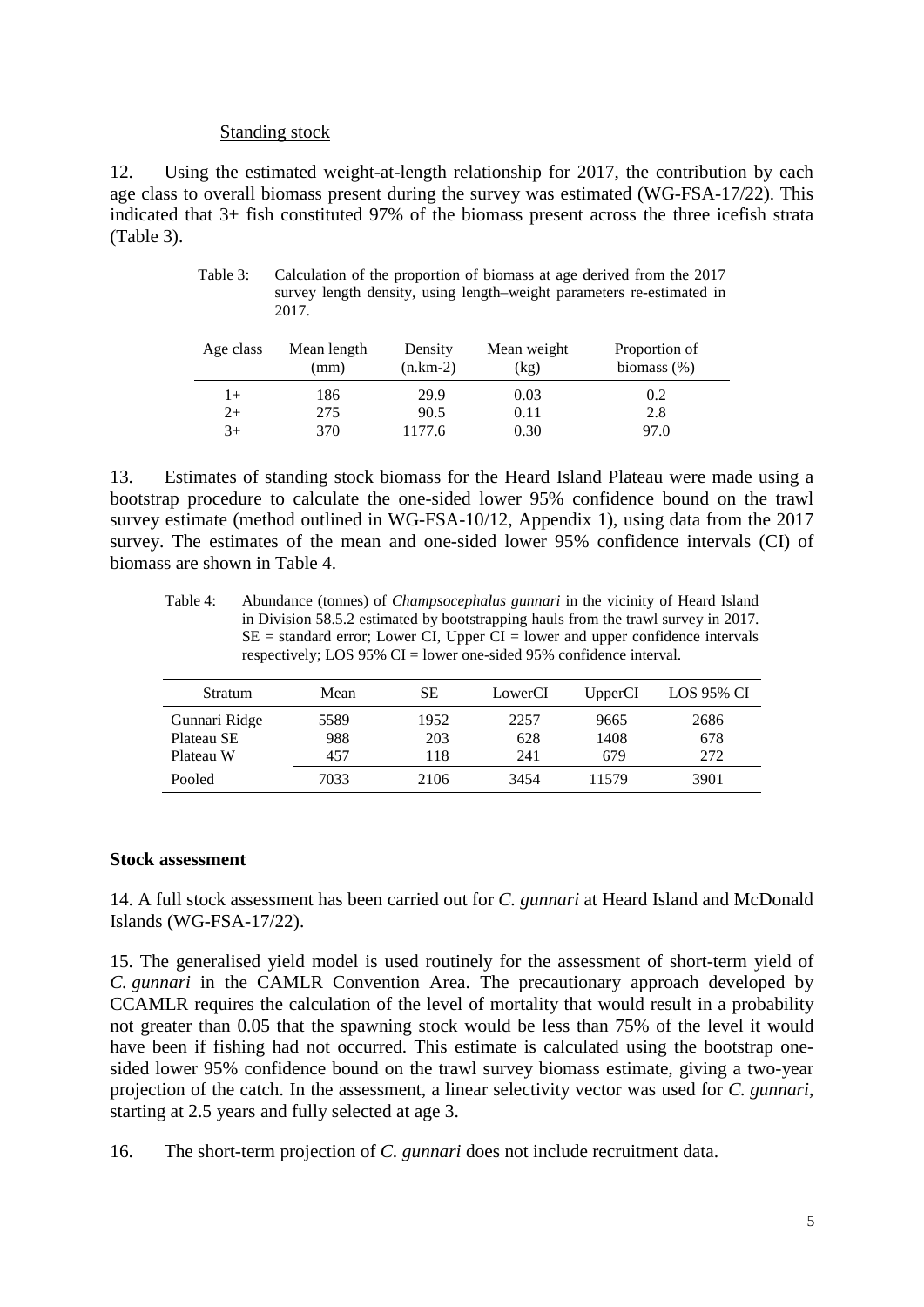## Standing stock

12. Using the estimated weight-at-length relationship for 2017, the contribution by each age class to overall biomass present during the survey was estimated (WG-FSA-17/22). This indicated that 3+ fish constituted 97% of the biomass present across the three icefish strata (Table 3).

| Age class | Mean length<br>(mm) | Density<br>$(n.km-2)$ | Mean weight<br>(kg) | Proportion of<br>biomass $(\%)$ |
|-----------|---------------------|-----------------------|---------------------|---------------------------------|
| $1+$      | 186                 | 29.9                  | 0.03                | 0.2                             |
| $2+$      | 275                 | 90.5                  | 0.11                | 2.8                             |
| $3+$      | 370                 | 1177.6                | 0.30                | 97.0                            |

Table 3: Calculation of the proportion of biomass at age derived from the 2017 survey length density, using length–weight parameters re-estimated in 2017.

13. Estimates of standing stock biomass for the Heard Island Plateau were made using a bootstrap procedure to calculate the one-sided lower 95% confidence bound on the trawl survey estimate (method outlined in WG-FSA-10/12, Appendix 1), using data from the 2017 survey. The estimates of the mean and one-sided lower 95% confidence intervals (CI) of biomass are shown in Table 4.

Table 4: Abundance (tonnes) of *Champsocephalus gunnari* in the vicinity of Heard Island in Division 58.5.2 estimated by bootstrapping hauls from the trawl survey in 2017.  $SE =$  standard error; Lower CI, Upper CI = lower and upper confidence intervals respectively; LOS 95% CI = lower one-sided 95% confidence interval.

| Stratum       | Mean | SЕ   | LowerCI | UpperCI | LOS 95% CI |
|---------------|------|------|---------|---------|------------|
| Gunnari Ridge | 5589 | 1952 | 2257    | 9665    | 2686       |
| Plateau SE    | 988  | 203  | 628     | 1408    | 678        |
| Plateau W     | 457  | 118  | 241     | 679     | 272        |
| Pooled        | 7033 | 2106 | 3454    | 11579   | 3901       |

# **Stock assessment**

14. A full stock assessment has been carried out for *C. gunnari* at Heard Island and McDonald Islands (WG-FSA-17/22).

15. The generalised yield model is used routinely for the assessment of short-term yield of *C. gunnari* in the CAMLR Convention Area. The precautionary approach developed by CCAMLR requires the calculation of the level of mortality that would result in a probability not greater than 0.05 that the spawning stock would be less than 75% of the level it would have been if fishing had not occurred. This estimate is calculated using the bootstrap onesided lower 95% confidence bound on the trawl survey biomass estimate, giving a two-year projection of the catch. In the assessment, a linear selectivity vector was used for *C. gunnari*, starting at 2.5 years and fully selected at age 3.

16. The short-term projection of *C. gunnari* does not include recruitment data.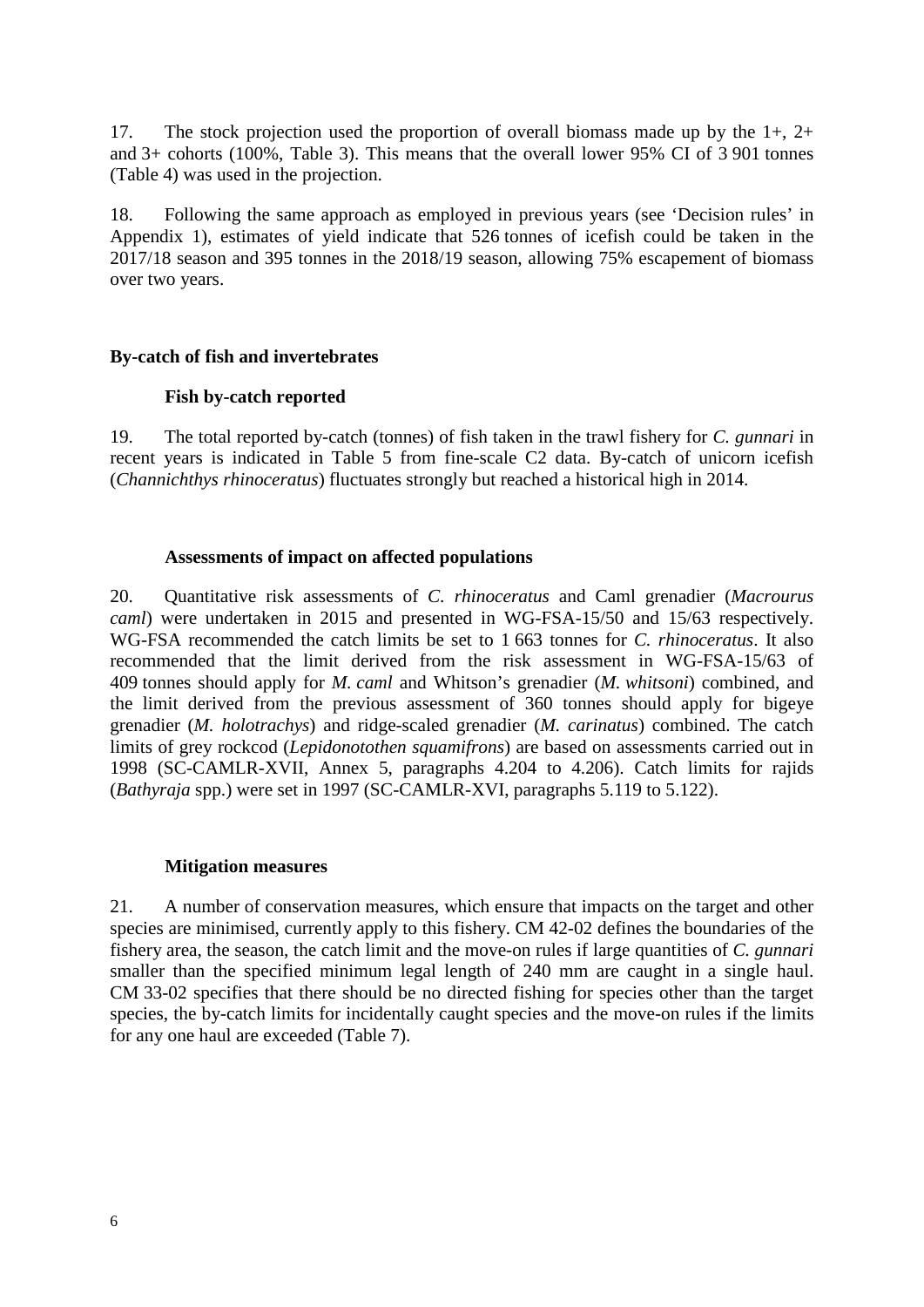17. The stock projection used the proportion of overall biomass made up by the 1+, 2+ and 3+ cohorts (100%, Table 3). This means that the overall lower 95% CI of 3 901 tonnes (Table 4) was used in the projection.

18. Following the same approach as employed in previous years (see 'Decision rules' in Appendix 1), estimates of yield indicate that 526 tonnes of icefish could be taken in the 2017/18 season and 395 tonnes in the 2018/19 season, allowing 75% escapement of biomass over two years.

## **By-catch of fish and invertebrates**

## **Fish by-catch reported**

19. The total reported by-catch (tonnes) of fish taken in the trawl fishery for *C. gunnari* in recent years is indicated in Table 5 from fine-scale C2 data. By-catch of unicorn icefish (*Channichthys rhinoceratus*) fluctuates strongly but reached a historical high in 2014.

## **Assessments of impact on affected populations**

20. Quantitative risk assessments of *C. rhinoceratus* and Caml grenadier (*Macrourus caml*) were undertaken in 2015 and presented in WG-FSA-15/50 and 15/63 respectively. WG-FSA recommended the catch limits be set to 1 663 tonnes for *C. rhinoceratus*. It also recommended that the limit derived from the risk assessment in WG-FSA-15/63 of 409 tonnes should apply for *M. caml* and Whitson's grenadier (*M. whitsoni*) combined, and the limit derived from the previous assessment of 360 tonnes should apply for bigeye grenadier (*M. holotrachys*) and ridge-scaled grenadier (*M. carinatus*) combined. The catch limits of grey rockcod (*Lepidonotothen squamifrons*) are based on assessments carried out in 1998 (SC-CAMLR-XVII, Annex 5, paragraphs 4.204 to 4.206). Catch limits for rajids (*Bathyraja* spp.) were set in 1997 (SC-CAMLR-XVI, paragraphs 5.119 to 5.122).

# **Mitigation measures**

21. A number of conservation measures, which ensure that impacts on the target and other species are minimised, currently apply to this fishery. CM 42-02 defines the boundaries of the fishery area, the season, the catch limit and the move-on rules if large quantities of *C. gunnari* smaller than the specified minimum legal length of 240 mm are caught in a single haul. CM 33-02 specifies that there should be no directed fishing for species other than the target species, the by-catch limits for incidentally caught species and the move-on rules if the limits for any one haul are exceeded (Table 7).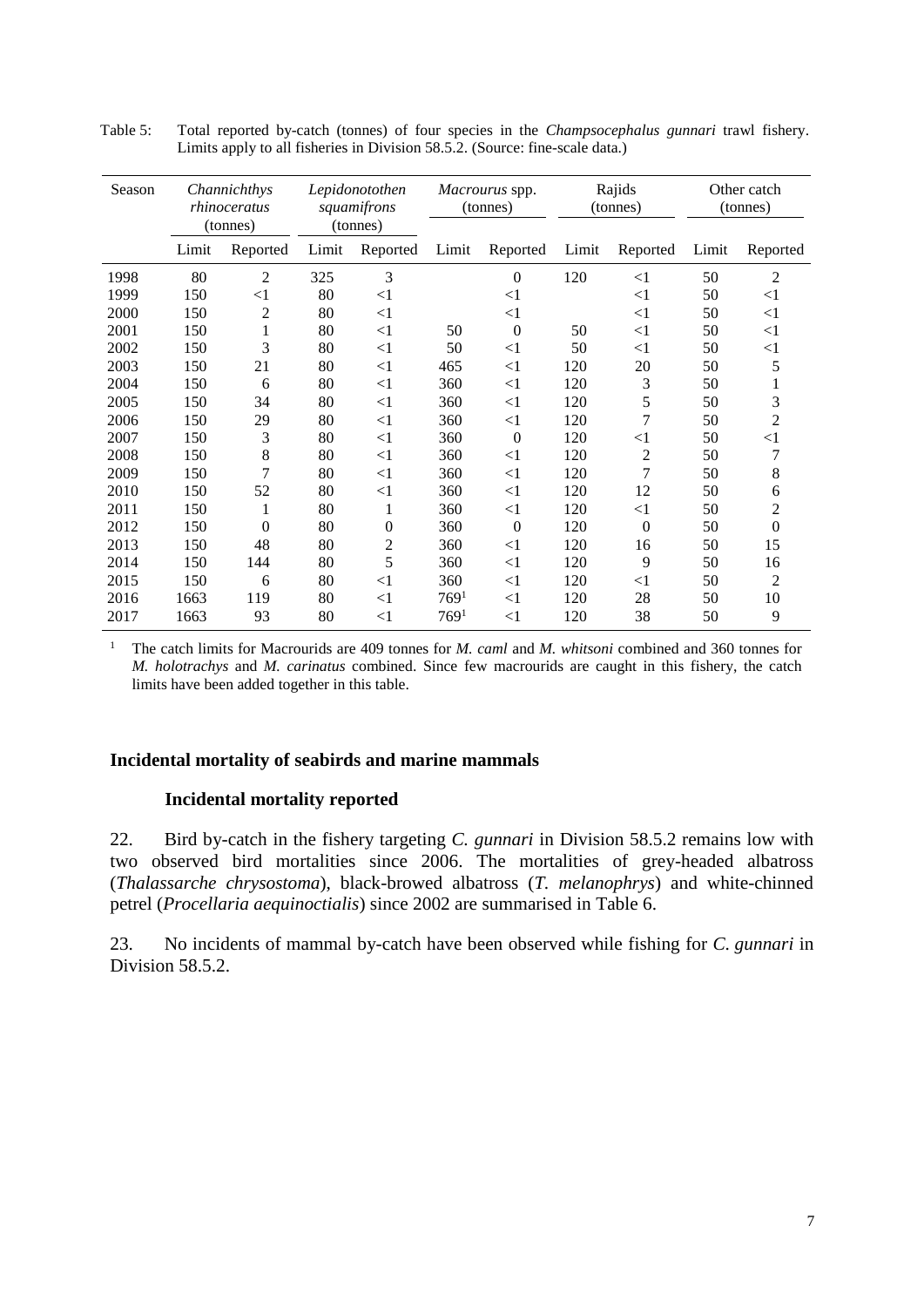| Season |       | Channichthys<br>rhinoceratus<br>(tonnes) |       | Lepidonotothen<br>squamifrons<br>(tonnes) |                  | Macrourus spp.<br>(tonnes) |       | Rajids<br>(tonnes) |       | Other catch<br>(tonnes) |
|--------|-------|------------------------------------------|-------|-------------------------------------------|------------------|----------------------------|-------|--------------------|-------|-------------------------|
|        | Limit | Reported                                 | Limit | Reported                                  | Limit            | Reported                   | Limit | Reported           | Limit | Reported                |
| 1998   | 80    | 2                                        | 325   | 3                                         |                  | $\theta$                   | 120   | $\leq$ 1           | 50    | 2                       |
| 1999   | 150   | $<$ 1                                    | 80    | $\leq$ 1                                  |                  | $<$ 1                      |       | $<$ 1              | 50    | $<$ 1                   |
| 2000   | 150   | 2                                        | 80    | <1                                        |                  | $<$ 1                      |       | $\leq$ 1           | 50    | $\leq$ 1                |
| 2001   | 150   | 1                                        | 80    | $<1\,$                                    | 50               | $\boldsymbol{0}$           | 50    | $<$ 1              | 50    | $<$ 1                   |
| 2002   | 150   | 3                                        | 80    | $\leq$ 1                                  | 50               | $<$ 1                      | 50    | $<$ 1              | 50    | $<$ 1                   |
| 2003   | 150   | 21                                       | 80    | <1                                        | 465              | $\leq$ 1                   | 120   | 20                 | 50    | 5                       |
| 2004   | 150   | 6                                        | 80    | <1                                        | 360              | $<$ 1                      | 120   | 3                  | 50    |                         |
| 2005   | 150   | 34                                       | 80    | $\leq$ 1                                  | 360              | $<$ 1                      | 120   | 5                  | 50    | 3                       |
| 2006   | 150   | 29                                       | 80    | $<1\,$                                    | 360              | $<$ 1                      | 120   | 7                  | 50    | $\overline{c}$          |
| 2007   | 150   | 3                                        | 80    | $\leq$ 1                                  | 360              | $\overline{0}$             | 120   | $<$ 1              | 50    | $\leq$ 1                |
| 2008   | 150   | 8                                        | 80    | <1                                        | 360              | $<$ 1                      | 120   | 2                  | 50    | 7                       |
| 2009   | 150   | 7                                        | 80    | $\leq$ 1                                  | 360              | $<$ 1                      | 120   | 7                  | 50    | 8                       |
| 2010   | 150   | 52                                       | 80    | $\leq$ 1                                  | 360              | $<$ 1                      | 120   | 12                 | 50    | 6                       |
| 2011   | 150   | 1                                        | 80    | 1                                         | 360              | $<$ 1                      | 120   | $<$ 1              | 50    | 2                       |
| 2012   | 150   | $\overline{0}$                           | 80    | $\boldsymbol{0}$                          | 360              | $\theta$                   | 120   | $\theta$           | 50    | $\theta$                |
| 2013   | 150   | 48                                       | 80    | 2                                         | 360              | $<$ 1                      | 120   | 16                 | 50    | 15                      |
| 2014   | 150   | 144                                      | 80    | 5                                         | 360              | $\leq$ 1                   | 120   | 9                  | 50    | 16                      |
| 2015   | 150   | 6                                        | 80    | $\leq$ 1                                  | 360              | $<$ 1                      | 120   | $<$ 1              | 50    | $\overline{2}$          |
| 2016   | 1663  | 119                                      | 80    | $\leq$ 1                                  | 769 <sup>1</sup> | $\leq$ 1                   | 120   | 28                 | 50    | 10                      |
| 2017   | 1663  | 93                                       | 80    | $\leq$ 1                                  | 769 <sup>1</sup> | $<$ 1                      | 120   | 38                 | 50    | 9                       |

Table 5: Total reported by-catch (tonnes) of four species in the *Champsocephalus gunnari* trawl fishery. Limits apply to all fisheries in Division 58.5.2. (Source: fine-scale data.)

<sup>1</sup> The catch limits for Macrourids are 409 tonnes for *M. caml* and *M. whitsoni* combined and 360 tonnes for *M. holotrachys* and *M. carinatus* combined. Since few macrourids are caught in this fishery, the catch limits have been added together in this table.

# **Incidental mortality of seabirds and marine mammals**

# **Incidental mortality reported**

22. Bird by-catch in the fishery targeting *C. gunnari* in Division 58.5.2 remains low with two observed bird mortalities since 2006. The mortalities of grey-headed albatross (*Thalassarche chrysostoma*), black-browed albatross (*T. melanophrys*) and white-chinned petrel (*Procellaria aequinoctialis*) since 2002 are summarised in Table 6.

23. No incidents of mammal by-catch have been observed while fishing for *C. gunnari* in Division 58.5.2.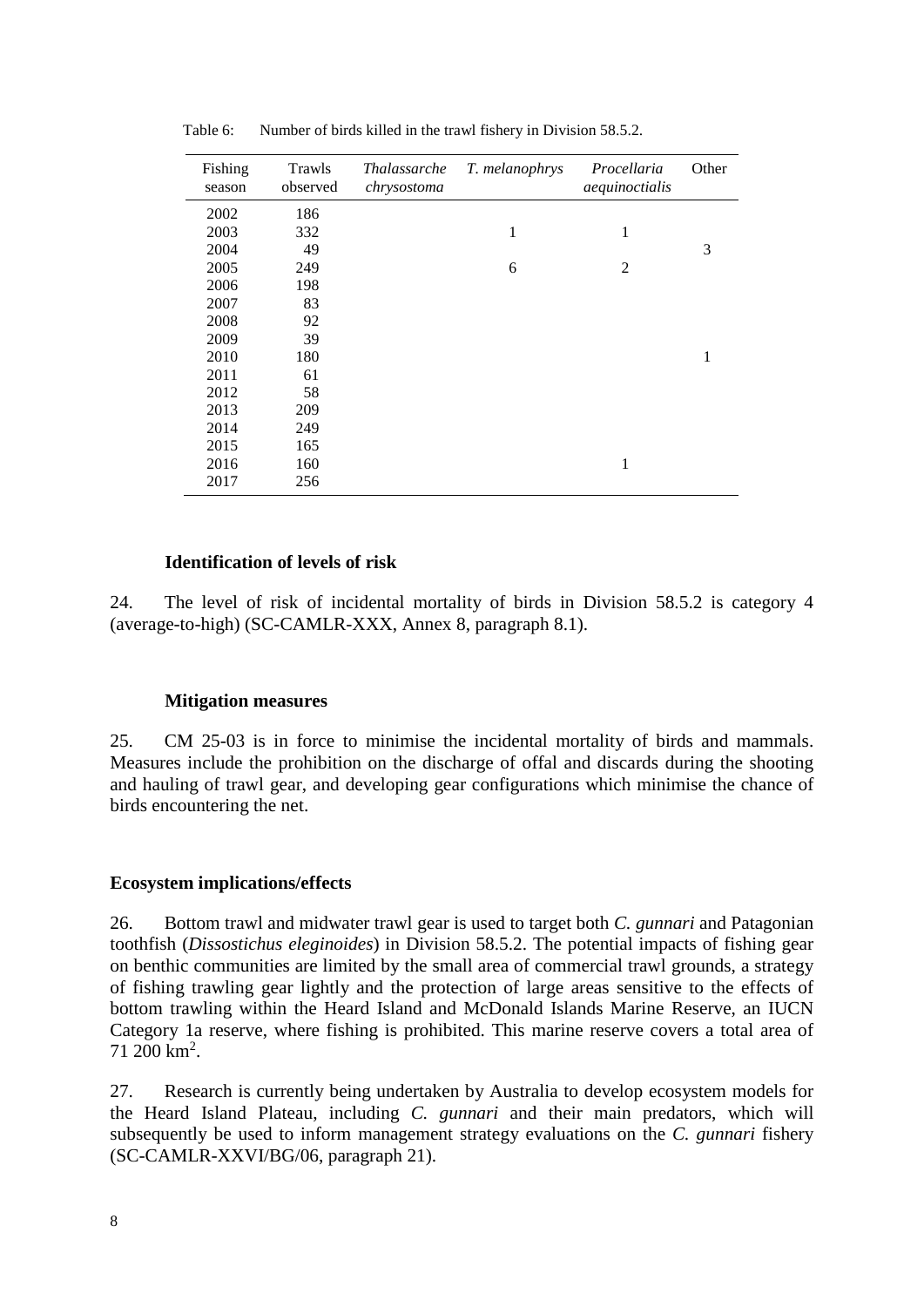| Fishing<br>season | Trawls<br>observed | <i>Thalassarche</i><br>chrysostoma | T. melanophrys | Procellaria<br>aequinoctialis | Other |
|-------------------|--------------------|------------------------------------|----------------|-------------------------------|-------|
| 2002              | 186                |                                    |                |                               |       |
| 2003              | 332                |                                    | 1              | 1                             |       |
| 2004              | 49                 |                                    |                |                               | 3     |
| 2005              | 249                |                                    | 6              | $\overline{2}$                |       |
| 2006              | 198                |                                    |                |                               |       |
| 2007              | 83                 |                                    |                |                               |       |
| 2008              | 92                 |                                    |                |                               |       |
| 2009              | 39                 |                                    |                |                               |       |
| 2010              | 180                |                                    |                |                               | 1     |
| 2011              | 61                 |                                    |                |                               |       |
| 2012              | 58                 |                                    |                |                               |       |
| 2013              | 209                |                                    |                |                               |       |
| 2014              | 249                |                                    |                |                               |       |
| 2015              | 165                |                                    |                |                               |       |
| 2016              | 160                |                                    |                | 1                             |       |
| 2017              | 256                |                                    |                |                               |       |

Table 6: Number of birds killed in the trawl fishery in Division 58.5.2.

#### **Identification of levels of risk**

24. The level of risk of incidental mortality of birds in Division 58.5.2 is category 4 (average-to-high) (SC-CAMLR-XXX, Annex 8, paragraph 8.1).

#### **Mitigation measures**

25. CM 25-03 is in force to minimise the incidental mortality of birds and mammals. Measures include the prohibition on the discharge of offal and discards during the shooting and hauling of trawl gear, and developing gear configurations which minimise the chance of birds encountering the net.

#### **Ecosystem implications/effects**

26. Bottom trawl and midwater trawl gear is used to target both *C. gunnari* and Patagonian toothfish (*Dissostichus eleginoides*) in Division 58.5.2. The potential impacts of fishing gear on benthic communities are limited by the small area of commercial trawl grounds, a strategy of fishing trawling gear lightly and the protection of large areas sensitive to the effects of bottom trawling within the Heard Island and McDonald Islands Marine Reserve, an IUCN Category 1a reserve, where fishing is prohibited. This marine reserve covers a total area of  $71\ 200\ km^2$ .

27. Research is currently being undertaken by Australia to develop ecosystem models for the Heard Island Plateau, including *C. gunnari* and their main predators, which will subsequently be used to inform management strategy evaluations on the *C. gunnari* fishery (SC-CAMLR-XXVI/BG/06, paragraph 21).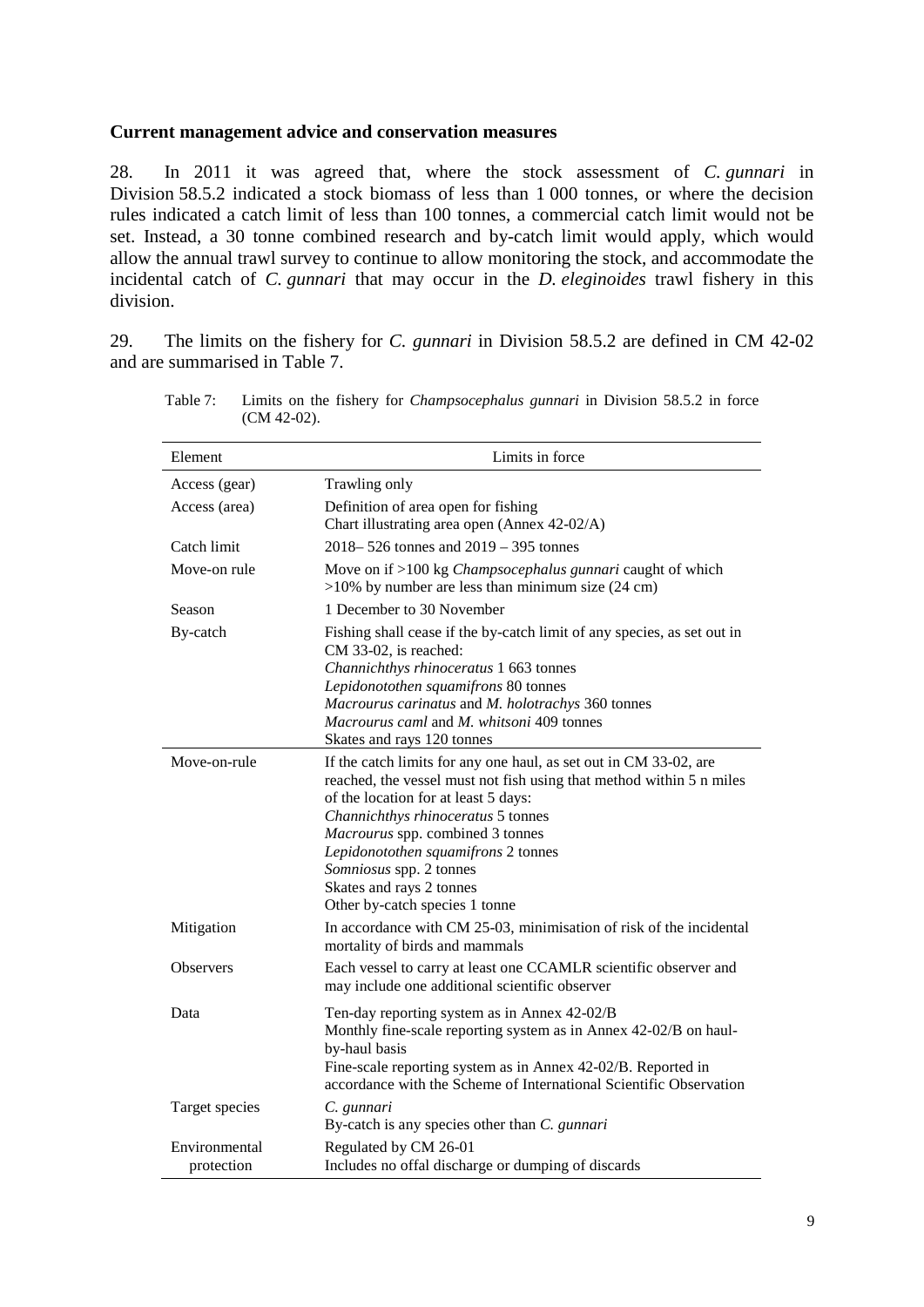### **Current management advice and conservation measures**

28. In 2011 it was agreed that, where the stock assessment of *C. gunnari* in Division 58.5.2 indicated a stock biomass of less than 1 000 tonnes, or where the decision rules indicated a catch limit of less than 100 tonnes, a commercial catch limit would not be set. Instead, a 30 tonne combined research and by-catch limit would apply, which would allow the annual trawl survey to continue to allow monitoring the stock, and accommodate the incidental catch of *C. gunnari* that may occur in the *D. eleginoides* trawl fishery in this division.

29. The limits on the fishery for *C. gunnari* in Division 58.5.2 are defined in CM 42-02 and are summarised in Table 7.

| Element                     | Limits in force                                                                                                                                                                                                                                                                                                                                                                             |
|-----------------------------|---------------------------------------------------------------------------------------------------------------------------------------------------------------------------------------------------------------------------------------------------------------------------------------------------------------------------------------------------------------------------------------------|
| Access (gear)               | Trawling only                                                                                                                                                                                                                                                                                                                                                                               |
| Access (area)               | Definition of area open for fishing<br>Chart illustrating area open (Annex 42-02/A)                                                                                                                                                                                                                                                                                                         |
| Catch limit                 | $2018 - 526$ tonnes and $2019 - 395$ tonnes                                                                                                                                                                                                                                                                                                                                                 |
| Move-on rule                | Move on if >100 kg <i>Champsocephalus gunnari</i> caught of which<br>$>10\%$ by number are less than minimum size (24 cm)                                                                                                                                                                                                                                                                   |
| Season                      | 1 December to 30 November                                                                                                                                                                                                                                                                                                                                                                   |
| By-catch                    | Fishing shall cease if the by-catch limit of any species, as set out in<br>CM 33-02, is reached:<br>Channichthys rhinoceratus 1 663 tonnes<br>Lepidonotothen squamifrons 80 tonnes<br>Macrourus carinatus and M. holotrachys 360 tonnes<br>Macrourus caml and M. whitsoni 409 tonnes<br>Skates and rays 120 tonnes                                                                          |
| Move-on-rule                | If the catch limits for any one haul, as set out in CM 33-02, are<br>reached, the vessel must not fish using that method within 5 n miles<br>of the location for at least 5 days:<br>Channichthys rhinoceratus 5 tonnes<br>Macrourus spp. combined 3 tonnes<br>Lepidonotothen squamifrons 2 tonnes<br>Somniosus spp. 2 tonnes<br>Skates and rays 2 tonnes<br>Other by-catch species 1 tonne |
| Mitigation                  | In accordance with CM 25-03, minimisation of risk of the incidental<br>mortality of birds and mammals                                                                                                                                                                                                                                                                                       |
| <b>Observers</b>            | Each vessel to carry at least one CCAMLR scientific observer and<br>may include one additional scientific observer                                                                                                                                                                                                                                                                          |
| Data                        | Ten-day reporting system as in Annex 42-02/B<br>Monthly fine-scale reporting system as in Annex 42-02/B on haul-<br>by-haul basis<br>Fine-scale reporting system as in Annex 42-02/B. Reported in<br>accordance with the Scheme of International Scientific Observation                                                                                                                     |
| Target species              | C. gunnari<br>By-catch is any species other than C. gunnari                                                                                                                                                                                                                                                                                                                                 |
| Environmental<br>protection | Regulated by CM 26-01<br>Includes no offal discharge or dumping of discards                                                                                                                                                                                                                                                                                                                 |

Table 7: Limits on the fishery for *Champsocephalus gunnari* in Division 58.5.2 in force (CM 42-02).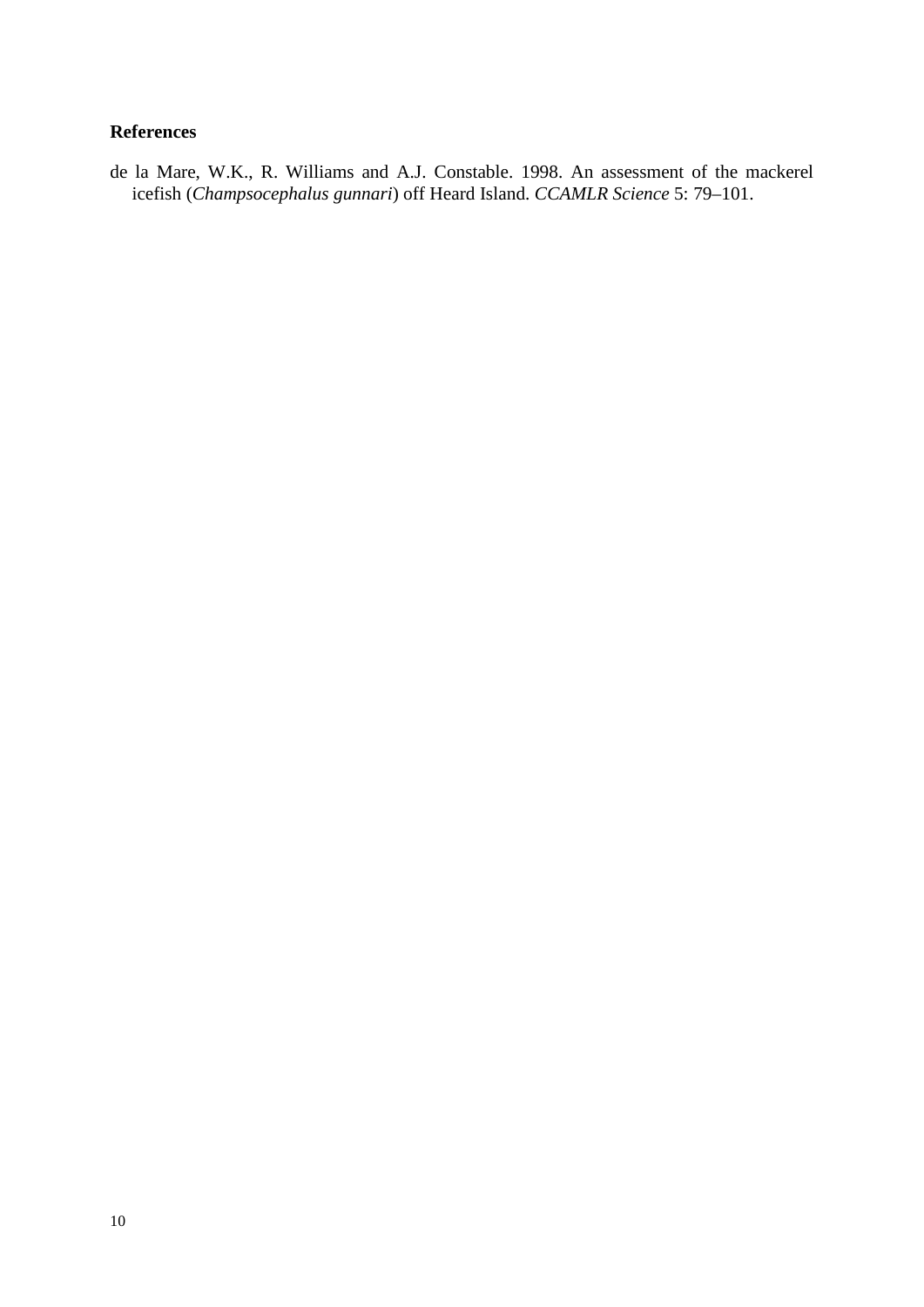# **References**

de la Mare, W.K., R. Williams and A.J. Constable. 1998. An assessment of the mackerel icefish (*Champsocephalus gunnari*) off Heard Island. *CCAMLR Science* 5: 79–101.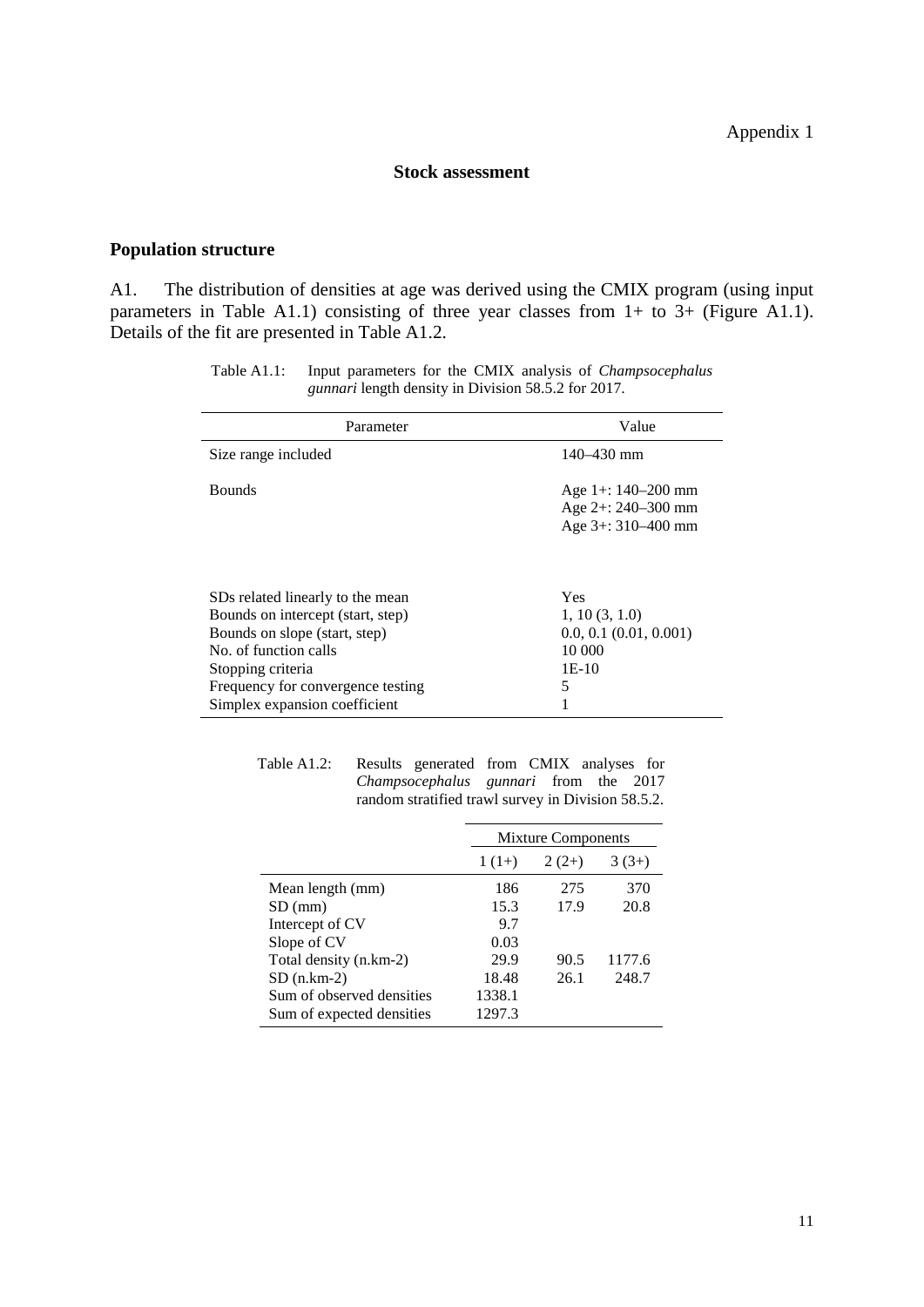## **Stock assessment**

# **Population structure**

A1. The distribution of densities at age was derived using the CMIX program (using input parameters in Table A1.1) consisting of three year classes from 1+ to 3+ (Figure A1.1). Details of the fit are presented in Table A1.2.

| Parameter                         | Value                                                             |
|-----------------------------------|-------------------------------------------------------------------|
| Size range included               | $140 - 430$ mm                                                    |
| <b>Bounds</b>                     | Age 1+: 140-200 mm<br>Age $2+$ : 240–300 mm<br>Age $3+310-400$ mm |
| SDs related linearly to the mean  | Yes                                                               |
| Bounds on intercept (start, step) | 1, 10(3, 1.0)                                                     |
| Bounds on slope (start, step)     | $0.0, 0.1$ $(0.01, 0.001)$                                        |
| No. of function calls             | 10 000                                                            |
| Stopping criteria                 | $1E-10$                                                           |
| Frequency for convergence testing | 5                                                                 |
| Simplex expansion coefficient     | 1                                                                 |

Table A1.1: Input parameters for the CMIX analysis of *Champsocephalus gunnari* length density in Division 58.5.2 for 2017.

| Table A1.2: Results generated from CMIX analyses for |                                                    |  |  |
|------------------------------------------------------|----------------------------------------------------|--|--|
|                                                      | <i>Champsocephalus gunnari</i> from the 2017       |  |  |
|                                                      | random stratified trawl survey in Division 58.5.2. |  |  |

|                           |         | <b>Mixture Components</b> |         |  |  |
|---------------------------|---------|---------------------------|---------|--|--|
|                           | $1(1+)$ | $2(2+)$                   | $3(3+)$ |  |  |
| Mean length (mm)          | 186     | 275                       | 370     |  |  |
| $SD$ (mm)                 | 15.3    | 17.9                      | 20.8    |  |  |
| Intercept of CV           | 9.7     |                           |         |  |  |
| Slope of CV               | 0.03    |                           |         |  |  |
| Total density (n.km-2)    | 29.9    | 90.5                      | 1177.6  |  |  |
| $SD(n, km-2)$             | 18.48   | 26.1                      | 248.7   |  |  |
| Sum of observed densities | 1338.1  |                           |         |  |  |
| Sum of expected densities | 1297.3  |                           |         |  |  |
|                           |         |                           |         |  |  |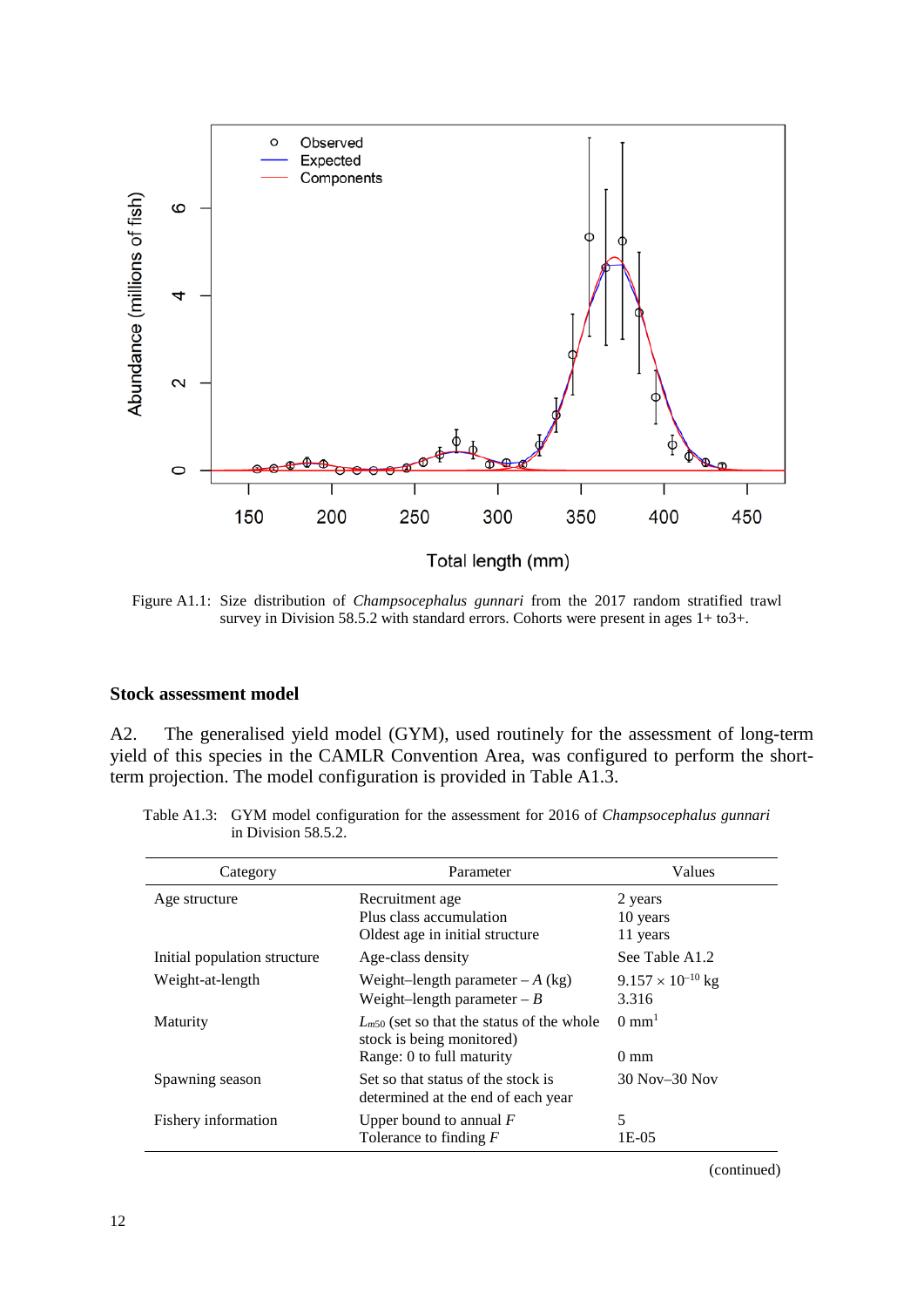

Figure A1.1: Size distribution of *Champsocephalus gunnari* from the 2017 random stratified trawl survey in Division 58.5.2 with standard errors. Cohorts were present in ages 1+ to3+.

### **Stock assessment model**

A2. The generalised yield model (GYM), used routinely for the assessment of long-term yield of this species in the CAMLR Convention Area, was configured to perform the shortterm projection. The model configuration is provided in Table A1.3.

| Table A1.3: GYM model configuration for the assessment for 2016 of <i>Champsocephalus gunnari</i> |
|---------------------------------------------------------------------------------------------------|
| in Division $58.5.2$ .                                                                            |

| Category                     | Parameter                                                                                                | Values                              |
|------------------------------|----------------------------------------------------------------------------------------------------------|-------------------------------------|
| Age structure                | Recruitment age<br>Plus class accumulation                                                               | 2 years<br>10 years                 |
|                              | Oldest age in initial structure                                                                          | 11 years                            |
| Initial population structure | Age-class density                                                                                        | See Table A1.2                      |
| Weight-at-length             | Weight-length parameter $-A$ (kg)<br>Weight-length parameter $-B$                                        | $9.157 \times 10^{-10}$ kg<br>3.316 |
| Maturity                     | $L_{m50}$ (set so that the status of the whole<br>stock is being monitored)<br>Range: 0 to full maturity | $0 \text{ mm}^1$<br>$0 \text{ mm}$  |
| Spawning season              | Set so that status of the stock is<br>determined at the end of each year                                 | 30 Nov-30 Nov                       |
| Fishery information          | Upper bound to annual $F$<br>Tolerance to finding $F$                                                    | 5<br>1E-05                          |

(continued)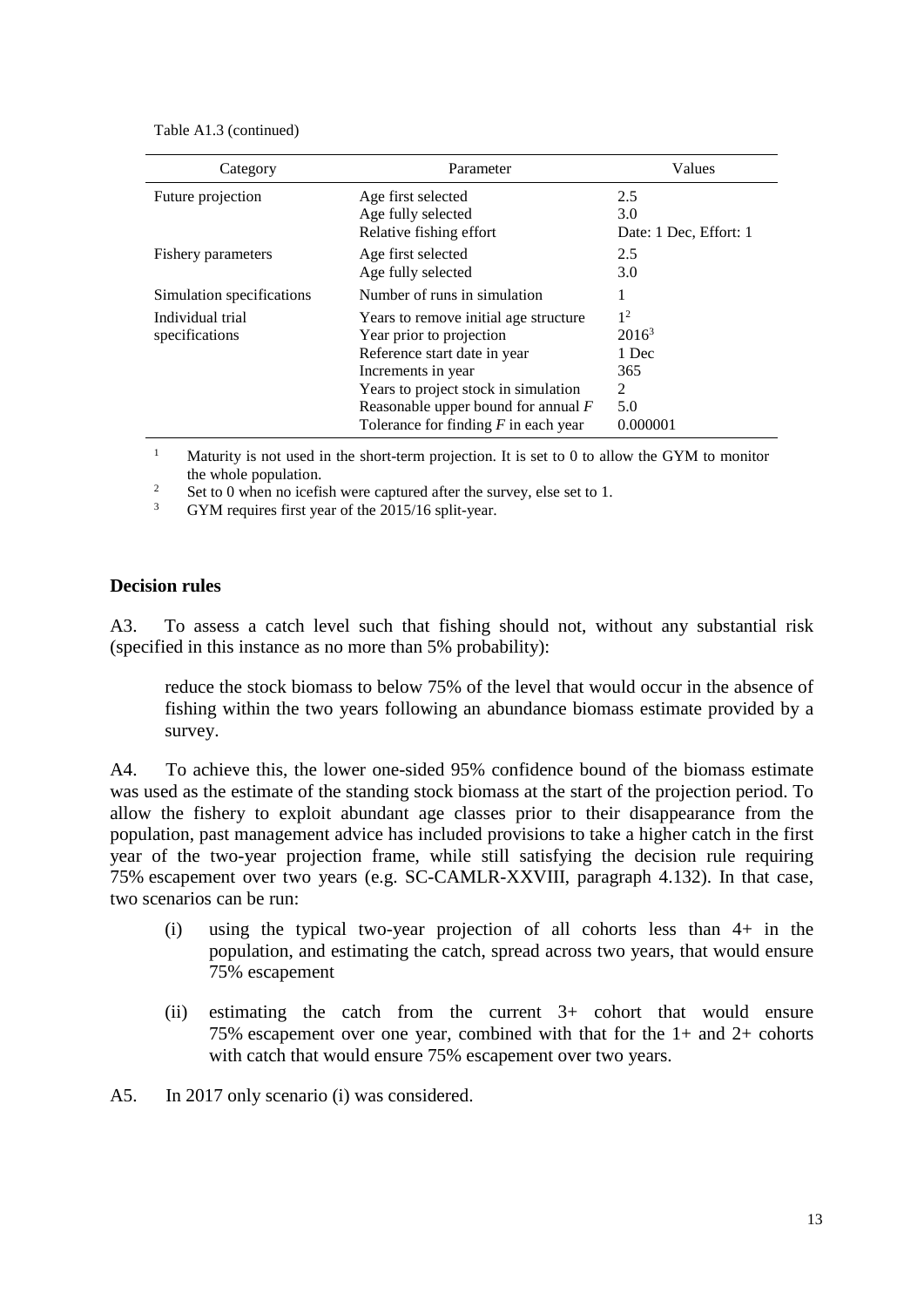Table A1.3 (continued)

| Category                           | Parameter                                                                                                                                                                                                                                          | Values                                                             |
|------------------------------------|----------------------------------------------------------------------------------------------------------------------------------------------------------------------------------------------------------------------------------------------------|--------------------------------------------------------------------|
| Future projection                  | Age first selected<br>Age fully selected<br>Relative fishing effort                                                                                                                                                                                | 2.5<br>3.0<br>Date: 1 Dec, Effort: 1                               |
| Fishery parameters                 | Age first selected<br>Age fully selected                                                                                                                                                                                                           | 2.5<br>3.0                                                         |
| Simulation specifications          | Number of runs in simulation                                                                                                                                                                                                                       | 1                                                                  |
| Individual trial<br>specifications | Years to remove initial age structure<br>Year prior to projection<br>Reference start date in year<br>Increments in year<br>Years to project stock in simulation<br>Reasonable upper bound for annual $F$<br>Tolerance for finding $F$ in each year | 1 <sup>2</sup><br>$2016^3$<br>1 Dec<br>365<br>2<br>5.0<br>0.000001 |

<sup>1</sup> Maturity is not used in the short-term projection. It is set to 0 to allow the GYM to monitor

the whole population.<br>
<sup>2</sup> Set to 0 when no icefish were captured after the survey, else set to 1.<br>
<sup>3</sup> GYM requires first year of the 2015/16 split-year.

# **Decision rules**

A3. To assess a catch level such that fishing should not, without any substantial risk (specified in this instance as no more than 5% probability):

reduce the stock biomass to below 75% of the level that would occur in the absence of fishing within the two years following an abundance biomass estimate provided by a survey.

A4. To achieve this, the lower one-sided 95% confidence bound of the biomass estimate was used as the estimate of the standing stock biomass at the start of the projection period. To allow the fishery to exploit abundant age classes prior to their disappearance from the population, past management advice has included provisions to take a higher catch in the first year of the two-year projection frame, while still satisfying the decision rule requiring 75% escapement over two years (e.g. SC-CAMLR-XXVIII, paragraph 4.132). In that case, two scenarios can be run:

- (i) using the typical two-year projection of all cohorts less than 4+ in the population, and estimating the catch, spread across two years, that would ensure 75% escapement
- (ii) estimating the catch from the current 3+ cohort that would ensure 75% escapement over one year, combined with that for the 1+ and 2+ cohorts with catch that would ensure 75% escapement over two years.
- A5. In 2017 only scenario (i) was considered.